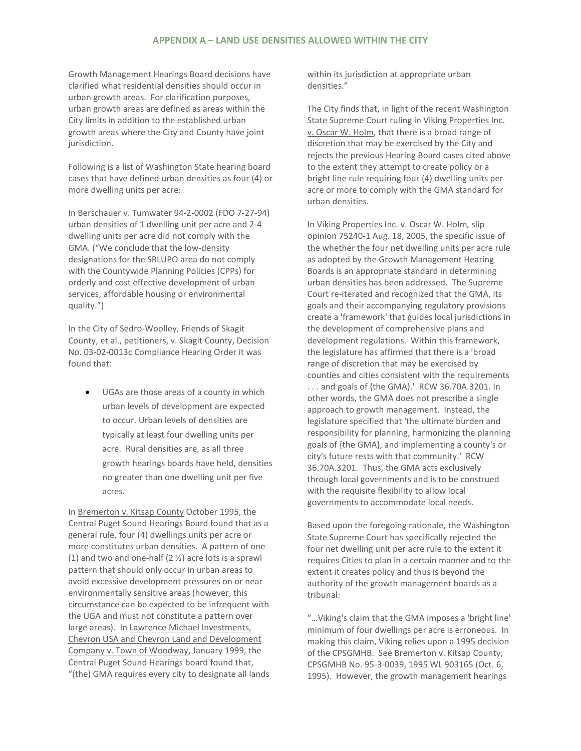## **APPENDIX A – LAND USE DENSITIES ALLOWED WITHIN THE CITY**

Growth Management Hearings Board decisions have clarified what residential densities should occur in urban growth areas. For clarification purposes, urban growth areas are defined as areas within the City limits in addition to the established urban growth areas where the City and County have joint jurisdiction.

Following is a list of Washington State hearing board cases that have defined urban densities as four (4) or more dwelling units per acre:

In Berschauer v. Tumwater 94-2-0002 (FDO 7-27-94) urban densities of 1 dwelling unit per acre and 2-4 dwelling units per acre did not comply with the GMA. ("We conclude that the low-density designations for the SRLUPO area do not comply with the Countywide Planning Policies (CPPs) for orderly and cost effective development of urban services, affordable housing or environmental quality.")

In the City of Sedro-Woolley, Friends of Skagit County, et al., petitioners, v. Skagit County, Decision No. 03-02-0013c Compliance Hearing Order it was found that:

UGAs are those areas of a county in which urban levels of development are expected to occur. Urban levels of densities are typically at least four dwelling units per acre. Rural densities are, as all three growth hearings boards have held, densities no greater than one dwelling unit per five acres.

In Bremerton v. Kitsap County October 1995, the Central Puget Sound Hearings Board found that as a general rule, four (4) dwellings units per acre or more constitutes urban densities. A pattern of one (1) and two and one-half (2 ½) acre lots is a sprawl pattern that should only occur in urban areas to avoid excessive development pressures on or near environmentally sensitive areas (however, this circumstance can be expected to be infrequent with the UGA and must not constitute a pattern over large areas). In Lawrence Michael Investments, Chevron USA and Chevron Land and Development Company v. Town of Woodway, January 1999, the Central Puget Sound Hearings board found that, "(the) GMA requires every city to designate all lands within its jurisdiction at appropriate urban densities."

The City finds that, in light of the recent Washington State Supreme Court ruling in Viking Properties Inc. v. Oscar W. Holm, that there is a broad range of discretion that may be exercised by the City and rejects the previous Hearing Board cases cited above to the extent they attempt to create policy or a bright line rule requiring four (4) dwelling units per acre or more to comply with the GMA standard for urban densities.

In Viking Properties Inc. v. Oscar W. Holm*,* slip opinion 75240-1 Aug. 18, 2005, the specific issue of the whether the four net dwelling units per acre rule as adopted by the Growth Management Hearing Boards is an appropriate standard in determining urban densities has been addressed. The Supreme Court re-iterated and recognized that the GMA, its goals and their accompanying regulatory provisions create a 'framework' that guides local jurisdictions in the development of comprehensive plans and development regulations. Within this framework, the legislature has affirmed that there is a 'broad range of discretion that may be exercised by counties and cities consistent with the requirements . . . and goals of {the GMA}.' RCW 36.70A.3201. In other words, the GMA does not prescribe a single approach to growth management. Instead, the legislature specified that 'the ultimate burden and responsibility for planning, harmonizing the planning goals of {the GMA}, and implementing a county's or city's future rests with that community.' RCW 36.70A.3201. Thus, the GMA acts exclusively through local governments and is to be construed with the requisite flexibility to allow local governments to accommodate local needs.

Based upon the foregoing rationale, the Washington State Supreme Court has specifically rejected the four net dwelling unit per acre rule to the extent it requires Cities to plan in a certain manner and to the extent it creates policy and thus is beyond the authority of the growth management boards as a tribunal:

"…Viking's claim that the GMA imposes a 'bright line' minimum of four dwellings per acre is erroneous. In making this claim, Viking relies upon a 1995 decision of the CPSGMHB. See Bremerton v. Kitsap County, CPSGMHB No. 95-3-0039, 1995 WL 903165 (Oct. 6, 1995). However, the growth management hearings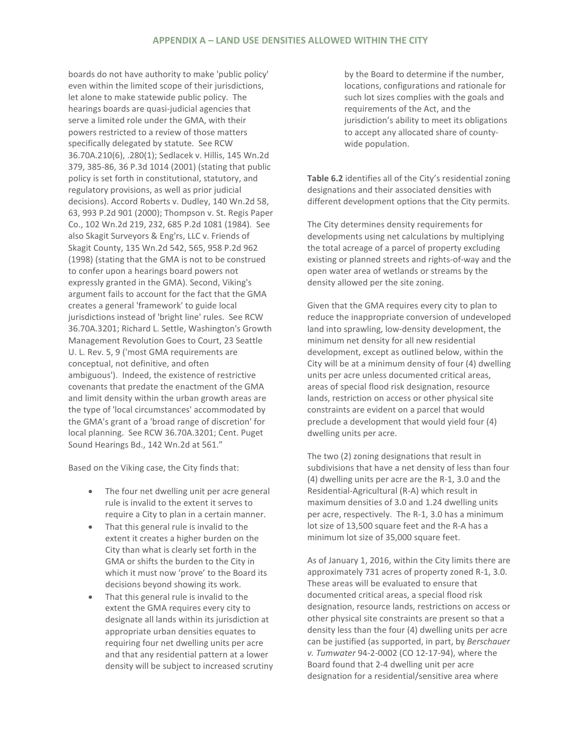## **APPENDIX A – LAND USE DENSITIES ALLOWED WITHIN THE CITY**

boards do not have authority to make 'public policy' even within the limited scope of their jurisdictions, let alone to make statewide public policy. The hearings boards are quasi-judicial agencies that serve a limited role under the GMA, with their powers restricted to a review of those matters specifically delegated by statute. See RCW 36.70A.210(6), .280(1); Sedlacek v. Hillis, 145 Wn.2d 379, 385-86, 36 P.3d 1014 (2001) (stating that public policy is set forth in constitutional, statutory, and regulatory provisions, as well as prior judicial decisions). Accord Roberts v. Dudley, 140 Wn.2d 58, 63, 993 P.2d 901 (2000); Thompson v. St. Regis Paper Co., 102 Wn.2d 219, 232, 685 P.2d 1081 (1984). See also Skagit Surveyors & Eng'rs, LLC v. Friends of Skagit County, 135 Wn.2d 542, 565, 958 P.2d 962 (1998) (stating that the GMA is not to be construed to confer upon a hearings board powers not expressly granted in the GMA). Second, Viking's argument fails to account for the fact that the GMA creates a general 'framework' to guide local jurisdictions instead of 'bright line' rules. See RCW 36.70A.3201; Richard L. Settle, Washington's Growth Management Revolution Goes to Court, 23 Seattle U. L. Rev. 5, 9 ('most GMA requirements are conceptual, not definitive, and often ambiguous'). Indeed, the existence of restrictive covenants that predate the enactment of the GMA and limit density within the urban growth areas are the type of 'local circumstances' accommodated by the GMA's grant of a 'broad range of discretion' for local planning. See RCW 36.70A.3201; Cent. Puget Sound Hearings Bd., 142 Wn.2d at 561."

Based on the Viking case, the City finds that:

- The four net dwelling unit per acre general rule is invalid to the extent it serves to require a City to plan in a certain manner.
- That this general rule is invalid to the extent it creates a higher burden on the City than what is clearly set forth in the GMA or shifts the burden to the City in which it must now 'prove' to the Board its decisions beyond showing its work.
- That this general rule is invalid to the extent the GMA requires every city to designate all lands within its jurisdiction at appropriate urban densities equates to requiring four net dwelling units per acre and that any residential pattern at a lower density will be subject to increased scrutiny

by the Board to determine if the number, locations, configurations and rationale for such lot sizes complies with the goals and requirements of the Act, and the jurisdiction's ability to meet its obligations to accept any allocated share of countywide population.

**Table 6.2** identifies all of the City's residential zoning designations and their associated densities with different development options that the City permits.

The City determines density requirements for developments using net calculations by multiplying the total acreage of a parcel of property excluding existing or planned streets and rights-of-way and the open water area of wetlands or streams by the density allowed per the site zoning.

Given that the GMA requires every city to plan to reduce the inappropriate conversion of undeveloped land into sprawling, low-density development, the minimum net density for all new residential development, except as outlined below, within the City will be at a minimum density of four (4) dwelling units per acre unless documented critical areas, areas of special flood risk designation, resource lands, restriction on access or other physical site constraints are evident on a parcel that would preclude a development that would yield four (4) dwelling units per acre.

The two (2) zoning designations that result in subdivisions that have a net density of less than four (4) dwelling units per acre are the R-1, 3.0 and the Residential-Agricultural (R-A) which result in maximum densities of 3.0 and 1.24 dwelling units per acre, respectively. The R-1, 3.0 has a minimum lot size of 13,500 square feet and the R-A has a minimum lot size of 35,000 square feet.

As of January 1, 2016, within the City limits there are approximately 731 acres of property zoned R-1, 3.0. These areas will be evaluated to ensure that documented critical areas, a special flood risk designation, resource lands, restrictions on access or other physical site constraints are present so that a density less than the four (4) dwelling units per acre can be justified (as supported, in part, by *Berschauer v. Tumwater* 94-2-0002 (CO 12-17-94), where the Board found that 2-4 dwelling unit per acre designation for a residential/sensitive area where